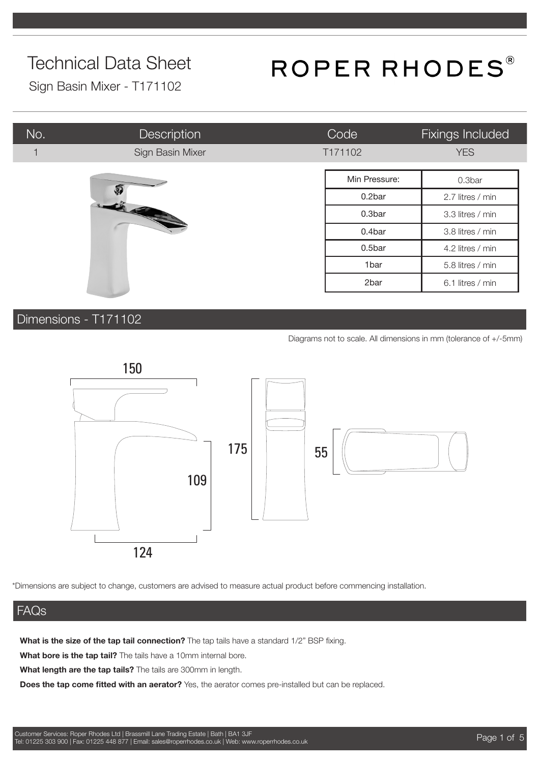## ROPER RHODES®

Sign Basin Mixer - T171102

| No. | Description      | Code    | Fixings Included |
|-----|------------------|---------|------------------|
| 1   | Sign Basin Mixer | T171102 | <b>YES</b>       |
|     | Min Pressure:    | 0.3bar  |                  |
|     | $\mathfrak{g}$   | 0.2bar  | 2.7 litres / min |
|     |                  | 0.3bar  | 3.3 litres / min |
|     |                  | 0.4bar  | 3.8 litres / min |
|     |                  | 0.5bar  | 4.2 litres / min |
|     |                  | 1bar    | 5.8 litres / min |
|     |                  | 2bar    | 6.1 litres / min |

#### Dimensions - T171102

Diagrams not to scale. All dimensions in mm (tolerance of +/-5mm)



\*Dimensions are subject to change, customers are advised to measure actual product before commencing installation.

#### FAQs

**What is the size of the tap tail connection?** The tap tails have a standard 1/2" BSP fixing.

**What bore is the tap tail?** The tails have a 10mm internal bore.

**What length are the tap tails?** The tails are 300mm in length.

**Does the tap come fitted with an aerator?** Yes, the aerator comes pre-installed but can be replaced.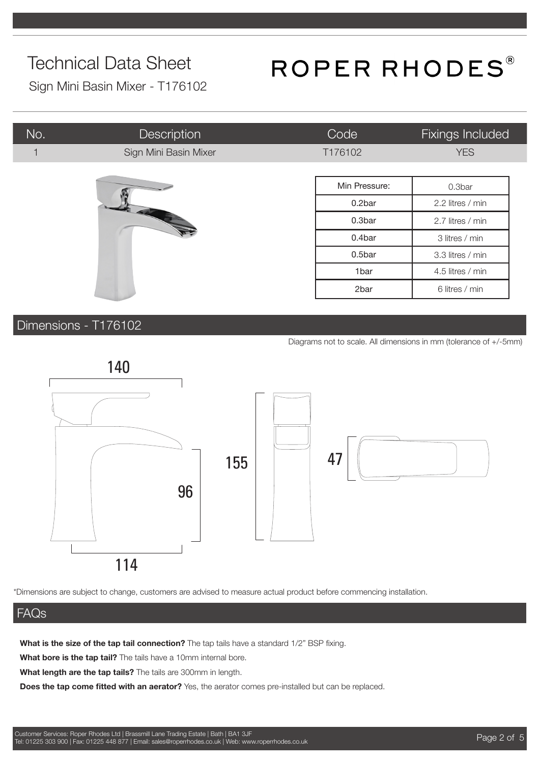# ROPER RHODES®

Sign Mini Basin Mixer - T176102

| No. | <b>Description</b>    | Code          | Fixings Included |
|-----|-----------------------|---------------|------------------|
|     | Sign Mini Basin Mixer | T176102       | <b>YES</b>       |
|     |                       |               |                  |
|     |                       | Min Pressure: | 0.3bar           |
|     | <b>CAN</b>            | 0.2bar        | 2.2 litres / min |
|     |                       | 0.3bar        | 2.7 litres / min |
|     |                       | 0.4bar        | 3 litres / min   |
|     |                       | 0.5bar        | 3.3 litres / min |
|     |                       | 1bar          | 4.5 litres / min |
|     |                       | 2bar          | 6 litres / min   |

#### Dimensions - T176102

Diagrams not to scale. All dimensions in mm (tolerance of +/-5mm)



\*Dimensions are subject to change, customers are advised to measure actual product before commencing installation.

#### FAQs

**What is the size of the tap tail connection?** The tap tails have a standard 1/2" BSP fixing.

**What bore is the tap tail?** The tails have a 10mm internal bore.

**What length are the tap tails?** The tails are 300mm in length.

**Does the tap come fitted with an aerator?** Yes, the aerator comes pre-installed but can be replaced.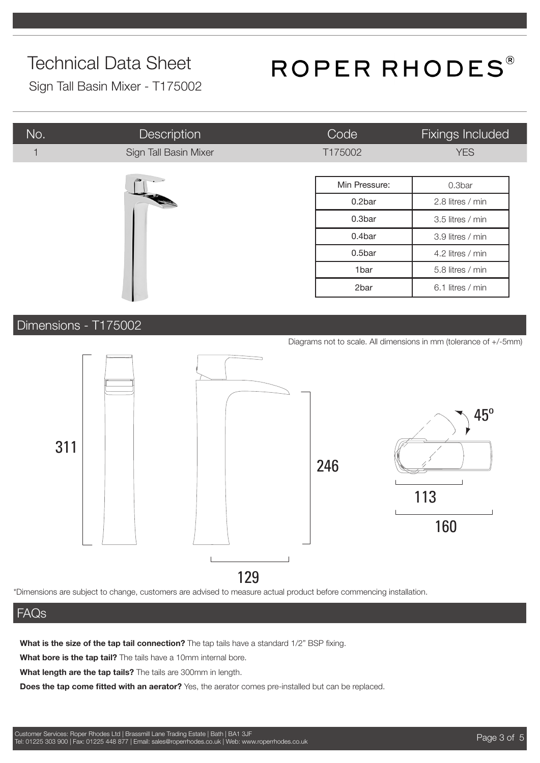# ROPER RHODES®

Sign Tall Basin Mixer - T175002

| No. | <b>Description</b>    | Code          | Fixings Included |
|-----|-----------------------|---------------|------------------|
|     | Sign Tall Basin Mixer | T175002       | <b>YES</b>       |
|     | -50                   | Min Pressure: | 0.3bar           |
|     | <b>READER</b>         | 0.2bar        | 2.8 litres / min |
|     |                       | 0.3bar        | 3.5 litres / min |
|     |                       | 0.4bar        | 3.9 litres / min |
|     |                       | 0.5bar        | 4.2 litres / min |
|     |                       | 1bar          | 5.8 litres / min |
|     |                       | 2bar          | 6.1 litres / min |

#### Dimensions - T175002

Diagrams not to scale. All dimensions in mm (tolerance of +/-5mm)



\*Dimensions are subject to change, customers are advised to measure actual product before commencing installation.

#### FAQs

**What is the size of the tap tail connection?** The tap tails have a standard 1/2" BSP fixing.

**What bore is the tap tail?** The tails have a 10mm internal bore.

**What length are the tap tails?** The tails are 300mm in length.

**Does the tap come fitted with an aerator?** Yes, the aerator comes pre-installed but can be replaced.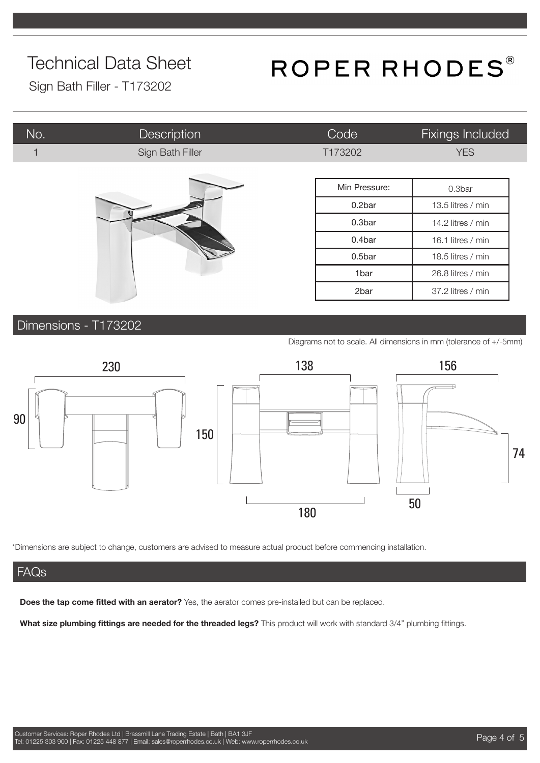## ROPER RHODES®

Sign Bath Filler - T173202

| No. | <b>Description</b> | Code              | Fixings Included  |
|-----|--------------------|-------------------|-------------------|
|     | Sign Bath Filler   | T173202           | <b>YES</b>        |
|     |                    |                   |                   |
|     |                    | Min Pressure:     | 0.3bar            |
|     | 0.2bar             | 13.5 litres / min |                   |
|     | 0.3bar             | 14.2 litres / min |                   |
|     | 0.4bar             | 16.1 litres / min |                   |
|     |                    | 0.5bar            | 18.5 litres / min |
|     |                    | 1bar              | 26.8 litres / min |
|     |                    | 2bar              | 37.2 litres / min |

#### Dimensions - T173202

Diagrams not to scale. All dimensions in mm (tolerance of +/-5mm)



\*Dimensions are subject to change, customers are advised to measure actual product before commencing installation.

#### **FAQs**

**Does the tap come fitted with an aerator?** Yes, the aerator comes pre-installed but can be replaced.

**What size plumbing fittings are needed for the threaded legs?** This product will work with standard 3/4" plumbing fittings.